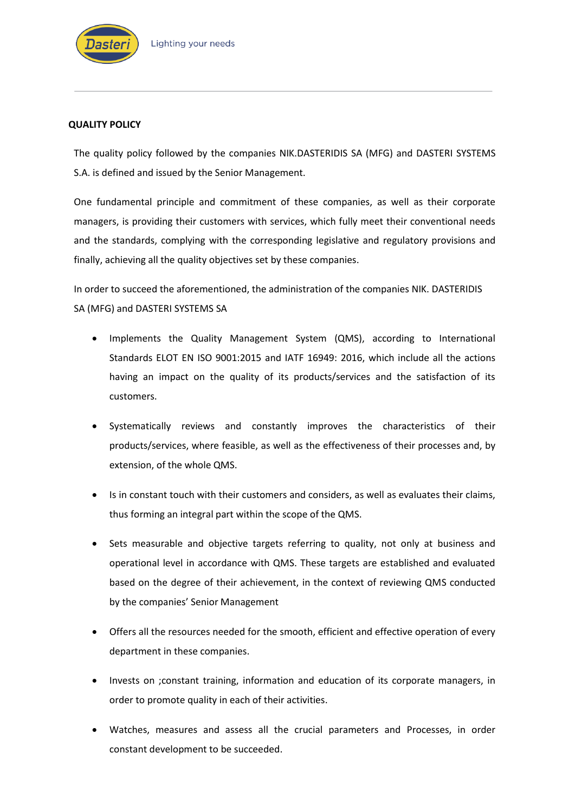

## **QUALITY POLICY**

The quality policy followed by the companies NIK.DASTERIDIS SA (MFG) and DASTERI SYSTEMS S.A. is defined and issued by the Senior Management.

One fundamental principle and commitment of these companies, as well as their corporate managers, is providing their customers with services, which fully meet their conventional needs and the standards, complying with the corresponding legislative and regulatory provisions and finally, achieving all the quality objectives set by these companies.

In order to succeed the aforementioned, the administration of the companies NIK. DASTERIDIS SA (MFG) and DASTERI SYSTEMS SA

- Implements the Quality Management System (QMS), according to International Standards ELOT ΕΝ ISO 9001:2015 and ΙΑΤF 16949: 2016, which include all the actions having an impact on the quality of its products/services and the satisfaction of its customers.
- Systematically reviews and constantly improves the characteristics of their products/services, where feasible, as well as the effectiveness of their processes and, by extension, of the whole QMS.
- Is in constant touch with their customers and considers, as well as evaluates their claims, thus forming an integral part within the scope of the QMS.
- Sets measurable and objective targets referring to quality, not only at business and operational level in accordance with QMS. These targets are established and evaluated based on the degree of their achievement, in the context of reviewing QMS conducted by the companies' Senior Management
- Offers all the resources needed for the smooth, efficient and effective operation of every department in these companies.
- Invests on ;constant training, information and education of its corporate managers, in order to promote quality in each of their activities.
- Watches, measures and assess all the crucial parameters and Processes, in order constant development to be succeeded.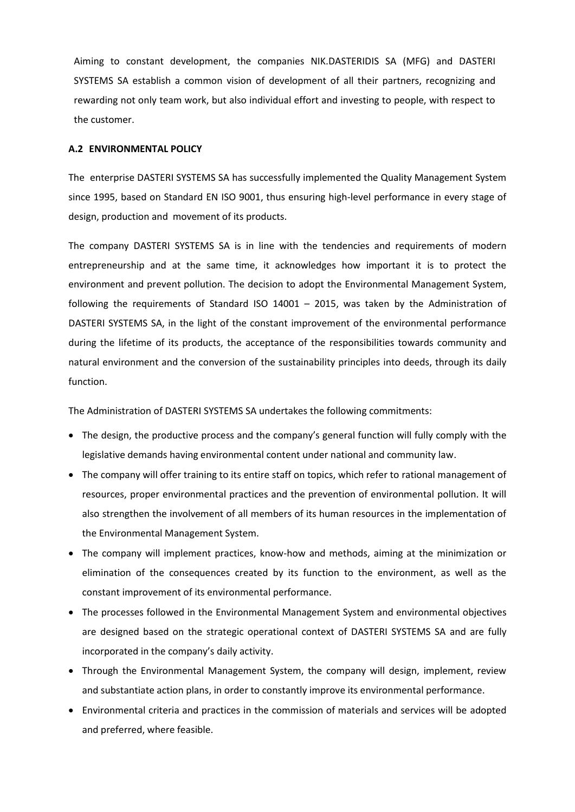Aiming to constant development, the companies NIK.DASTERIDIS SA (MFG) and DASTERI SYSTEMS SA establish a common vision of development of all their partners, recognizing and rewarding not only team work, but also individual effort and investing to people, with respect to the customer.

## **Α.2 ENVIRONMENTAL POLICY**

The enterprise DASTERI SYSTEMS SA has successfully implemented the Quality Management System since 1995, based on Standard EN ISO 9001, thus ensuring high-level performance in every stage of design, production and movement of its products.

The company DASTERI SYSTEMS SA is in line with the tendencies and requirements of modern entrepreneurship and at the same time, it acknowledges how important it is to protect the environment and prevent pollution. The decision to adopt the Environmental Management System, following the requirements of Standard ISO 14001 – 2015, was taken by the Administration of DASTERI SYSTEMS SA, in the light of the constant improvement of the environmental performance during the lifetime of its products, the acceptance of the responsibilities towards community and natural environment and the conversion of the sustainability principles into deeds, through its daily function.

The Administration of DASTERI SYSTEMS SA undertakes the following commitments:

- The design, the productive process and the company's general function will fully comply with the legislative demands having environmental content under national and community law.
- The company will offer training to its entire staff on topics, which refer to rational management of resources, proper environmental practices and the prevention of environmental pollution. It will also strengthen the involvement of all members of its human resources in the implementation of the Environmental Management System.
- The company will implement practices, know-how and methods, aiming at the minimization or elimination of the consequences created by its function to the environment, as well as the constant improvement of its environmental performance.
- The processes followed in the Environmental Management System and environmental objectives are designed based on the strategic operational context of DASTERI SYSTEMS SA and are fully incorporated in the company's daily activity.
- Through the Environmental Management System, the company will design, implement, review and substantiate action plans, in order to constantly improve its environmental performance.
- Environmental criteria and practices in the commission of materials and services will be adopted and preferred, where feasible.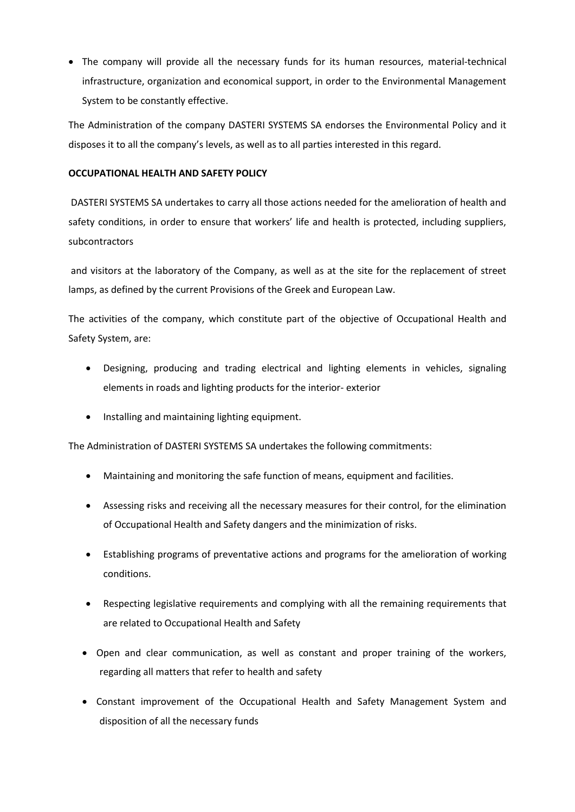• The company will provide all the necessary funds for its human resources, material-technical infrastructure, organization and economical support, in order to the Environmental Management System to be constantly effective.

The Administration of the company DASTERI SYSTEMS SA endorses the Environmental Policy and it disposes it to all the company's levels, as well as to all parties interested in this regard.

## **OCCUPATIONAL HEALTH AND SAFETY POLICY**

DASTERI SYSTEMS SA undertakes to carry all those actions needed for the amelioration of health and safety conditions, in order to ensure that workers' life and health is protected, including suppliers, subcontractors

and visitors at the laboratory of the Company, as well as at the site for the replacement of street lamps, as defined by the current Provisions of the Greek and European Law.

The activities of the company, which constitute part of the objective of Occupational Health and Safety System, are:

- Designing, producing and trading electrical and lighting elements in vehicles, signaling elements in roads and lighting products for the interior- exterior
- Installing and maintaining lighting equipment.

The Administration of DASTERI SYSTEMS SA undertakes the following commitments:

- Maintaining and monitoring the safe function of means, equipment and facilities.
- Assessing risks and receiving all the necessary measures for their control, for the elimination of Occupational Health and Safety dangers and the minimization of risks.
- Establishing programs of preventative actions and programs for the amelioration of working conditions.
- Respecting legislative requirements and complying with all the remaining requirements that are related to Occupational Health and Safety
- Open and clear communication, as well as constant and proper training of the workers, regarding all matters that refer to health and safety
- Constant improvement of the Occupational Health and Safety Management System and disposition of all the necessary funds